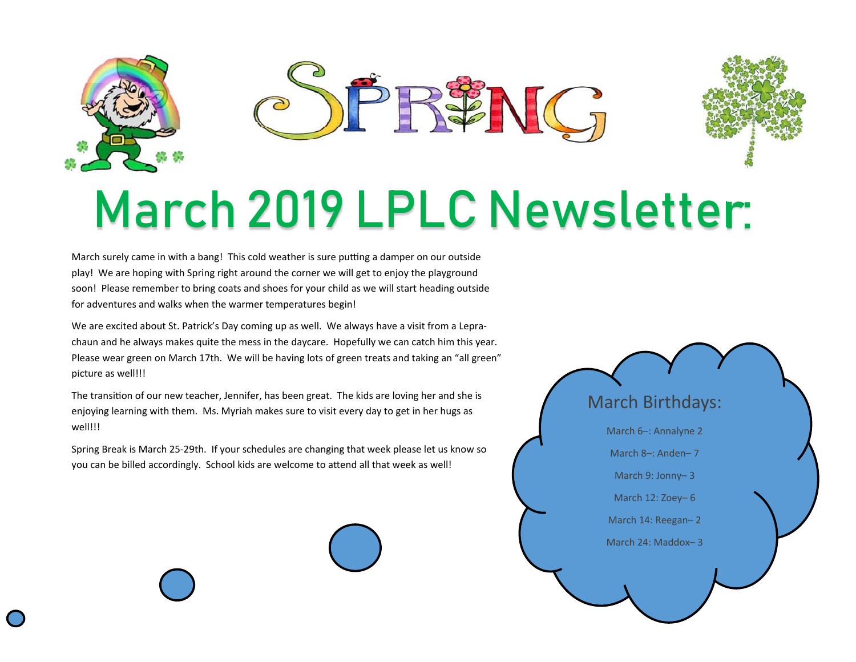

## March 2019 LPLC Newsletter:

March surely came in with a bang! This cold weather is sure putting a damper on our outside play! We are hoping with Spring right around the corner we will get to enjoy the playground soon! Please remember to bring coats and shoes for your child as we will start heading outside for adventures and walks when the warmer temperatures begin!

We are excited about St. Patrick's Day coming up as well. We always have a visit from a Leprachaun and he always makes quite the mess in the daycare. Hopefully we can catch him this year. Please wear green on March 17th. We will be having lots of green treats and taking an "all green" picture as well!!!

The transition of our new teacher, Jennifer, has been great. The kids are loving her and she is enjoying learning with them. Ms. Myriah makes sure to visit every day to get in her hugs as well!!!

Spring Break is March 25-29th. If your schedules are changing that week please let us know so you can be billed accordingly. School kids are welcome to attend all that week as well!

## March Birthdays: March 6–: Annalyne 2 March 8–: Anden– 7 March 9: Jonny– 3 March 12: Zoey– 6 March 14: Reegan– 2 March 24: Maddox– 3